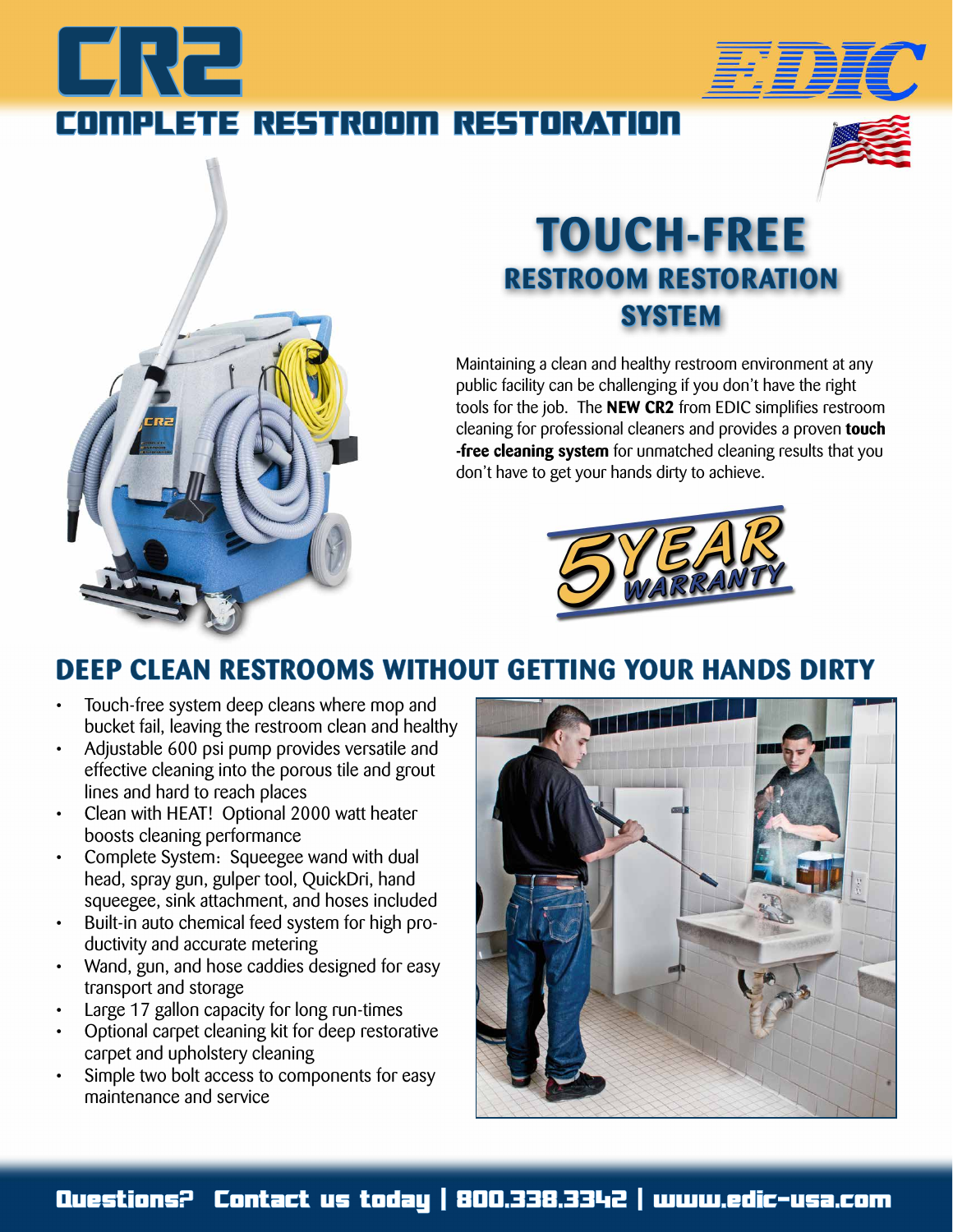# ERZ COMPLETE RESTROOM RESTORATION





### **TOUCH-FREE RESTROOM RESTORATION SYSTEM**

Maintaining a clean and healthy restroom environment at any public facility can be challenging if you don't have the right tools for the job. The **NEW CR2** from EDIC simplifies restroom cleaning for professional cleaners and provides a proven **touch -free cleaning system** for unmatched cleaning results that you don't have to get your hands dirty to achieve.



### **DEEP CLEAN RESTROOMS WITHOUT GETTING YOUR HANDS DIRTY**

- Touch-free system deep cleans where mop and bucket fail, leaving the restroom clean and healthy
- Adjustable 600 psi pump provides versatile and effective cleaning into the porous tile and grout lines and hard to reach places
- Clean with HEAT! Optional 2000 watt heater boosts cleaning performance
- Complete System: Squeegee wand with dual head, spray gun, gulper tool, QuickDri, hand squeegee, sink attachment, and hoses included
- Built-in auto chemical feed system for high productivity and accurate metering
- Wand, gun, and hose caddies designed for easy transport and storage
- Large 17 gallon capacity for long run-times
- Optional carpet cleaning kit for deep restorative carpet and upholstery cleaning
- Simple two bolt access to components for easy maintenance and service